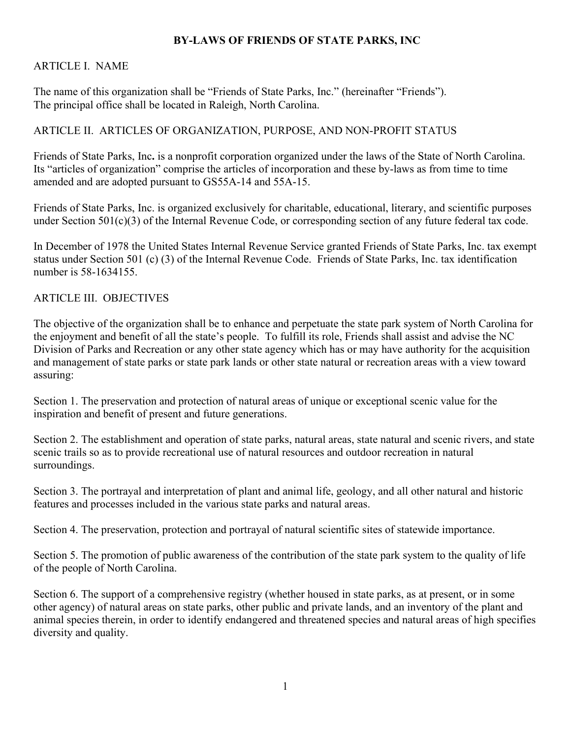### **BY-LAWS OF FRIENDS OF STATE PARKS, INC**

#### ARTICLE I. NAME

The name of this organization shall be "Friends of State Parks, Inc." (hereinafter "Friends"). The principal office shall be located in Raleigh, North Carolina.

### ARTICLE II. ARTICLES OF ORGANIZATION, PURPOSE, AND NON-PROFIT STATUS

Friends of State Parks, Inc**.** is a nonprofit corporation organized under the laws of the State of North Carolina. Its "articles of organization" comprise the articles of incorporation and these by-laws as from time to time amended and are adopted pursuant to GS55A-14 and 55A-15.

Friends of State Parks, Inc. is organized exclusively for charitable, educational, literary, and scientific purposes under Section 501(c)(3) of the Internal Revenue Code, or corresponding section of any future federal tax code.

In December of 1978 the United States Internal Revenue Service granted Friends of State Parks, Inc. tax exempt status under Section 501 (c) (3) of the Internal Revenue Code. Friends of State Parks, Inc. tax identification number is 58-1634155.

#### ARTICLE III. OBJECTIVES

The objective of the organization shall be to enhance and perpetuate the state park system of North Carolina for the enjoyment and benefit of all the state's people. To fulfill its role, Friends shall assist and advise the NC Division of Parks and Recreation or any other state agency which has or may have authority for the acquisition and management of state parks or state park lands or other state natural or recreation areas with a view toward assuring:

Section 1. The preservation and protection of natural areas of unique or exceptional scenic value for the inspiration and benefit of present and future generations.

Section 2. The establishment and operation of state parks, natural areas, state natural and scenic rivers, and state scenic trails so as to provide recreational use of natural resources and outdoor recreation in natural surroundings.

Section 3. The portrayal and interpretation of plant and animal life, geology, and all other natural and historic features and processes included in the various state parks and natural areas.

Section 4. The preservation, protection and portrayal of natural scientific sites of statewide importance.

Section 5. The promotion of public awareness of the contribution of the state park system to the quality of life of the people of North Carolina.

Section 6. The support of a comprehensive registry (whether housed in state parks, as at present, or in some other agency) of natural areas on state parks, other public and private lands, and an inventory of the plant and animal species therein, in order to identify endangered and threatened species and natural areas of high specifies diversity and quality.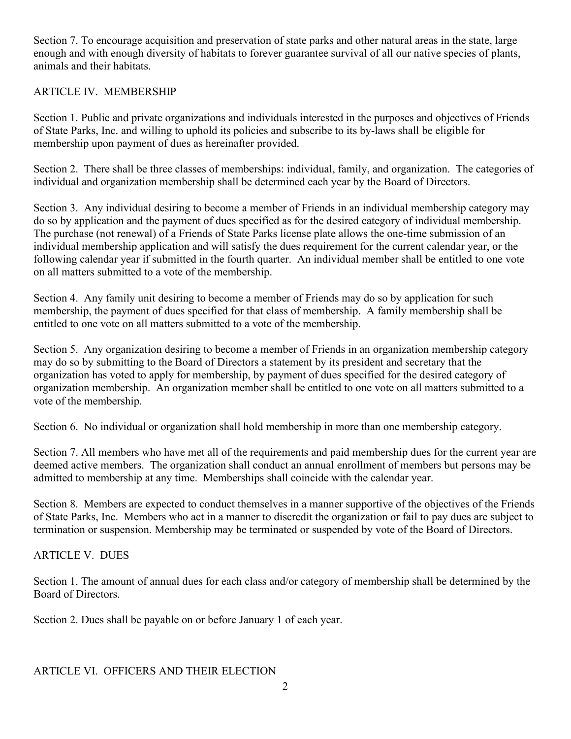Section 7. To encourage acquisition and preservation of state parks and other natural areas in the state, large enough and with enough diversity of habitats to forever guarantee survival of all our native species of plants, animals and their habitats.

### ARTICLE IV. MEMBERSHIP

Section 1. Public and private organizations and individuals interested in the purposes and objectives of Friends of State Parks, Inc. and willing to uphold its policies and subscribe to its by-laws shall be eligible for membership upon payment of dues as hereinafter provided.

Section 2. There shall be three classes of memberships: individual, family, and organization. The categories of individual and organization membership shall be determined each year by the Board of Directors.

Section 3. Any individual desiring to become a member of Friends in an individual membership category may do so by application and the payment of dues specified as for the desired category of individual membership. The purchase (not renewal) of a Friends of State Parks license plate allows the one-time submission of an individual membership application and will satisfy the dues requirement for the current calendar year, or the following calendar year if submitted in the fourth quarter. An individual member shall be entitled to one vote on all matters submitted to a vote of the membership.

Section 4. Any family unit desiring to become a member of Friends may do so by application for such membership, the payment of dues specified for that class of membership. A family membership shall be entitled to one vote on all matters submitted to a vote of the membership.

Section 5. Any organization desiring to become a member of Friends in an organization membership category may do so by submitting to the Board of Directors a statement by its president and secretary that the organization has voted to apply for membership, by payment of dues specified for the desired category of organization membership. An organization member shall be entitled to one vote on all matters submitted to a vote of the membership.

Section 6. No individual or organization shall hold membership in more than one membership category.

Section 7. All members who have met all of the requirements and paid membership dues for the current year are deemed active members. The organization shall conduct an annual enrollment of members but persons may be admitted to membership at any time. Memberships shall coincide with the calendar year.

Section 8. Members are expected to conduct themselves in a manner supportive of the objectives of the Friends of State Parks, Inc. Members who act in a manner to discredit the organization or fail to pay dues are subject to termination or suspension. Membership may be terminated or suspended by vote of the Board of Directors.

ARTICLE V. DUES

Section 1. The amount of annual dues for each class and/or category of membership shall be determined by the Board of Directors.

Section 2. Dues shall be payable on or before January 1 of each year.

### ARTICLE VI. OFFICERS AND THEIR ELECTION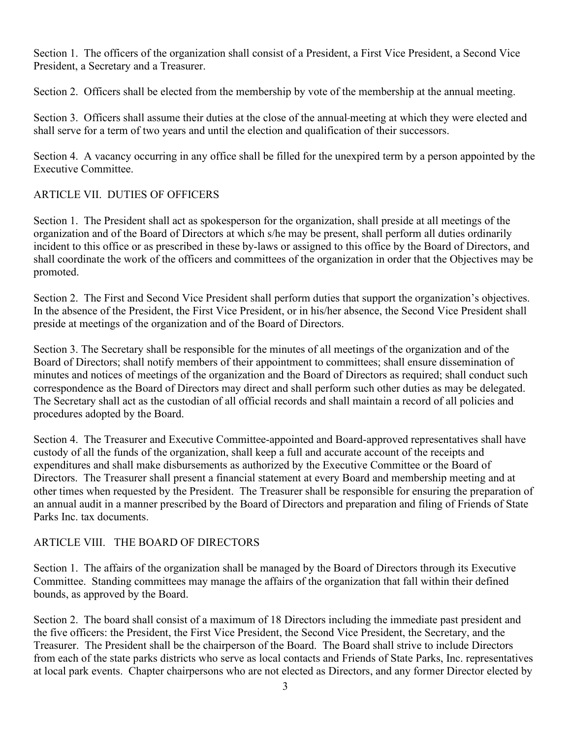Section 1. The officers of the organization shall consist of a President, a First Vice President, a Second Vice President, a Secretary and a Treasurer.

Section 2. Officers shall be elected from the membership by vote of the membership at the annual meeting.

Section 3. Officers shall assume their duties at the close of the annual meeting at which they were elected and shall serve for a term of two years and until the election and qualification of their successors.

Section 4. A vacancy occurring in any office shall be filled for the unexpired term by a person appointed by the Executive Committee.

# ARTICLE VII. DUTIES OF OFFICERS

Section 1. The President shall act as spokesperson for the organization, shall preside at all meetings of the organization and of the Board of Directors at which s/he may be present, shall perform all duties ordinarily incident to this office or as prescribed in these by-laws or assigned to this office by the Board of Directors, and shall coordinate the work of the officers and committees of the organization in order that the Objectives may be promoted.

Section 2. The First and Second Vice President shall perform duties that support the organization's objectives. In the absence of the President, the First Vice President, or in his/her absence, the Second Vice President shall preside at meetings of the organization and of the Board of Directors.

Section 3. The Secretary shall be responsible for the minutes of all meetings of the organization and of the Board of Directors; shall notify members of their appointment to committees; shall ensure dissemination of minutes and notices of meetings of the organization and the Board of Directors as required; shall conduct such correspondence as the Board of Directors may direct and shall perform such other duties as may be delegated. The Secretary shall act as the custodian of all official records and shall maintain a record of all policies and procedures adopted by the Board.

Section 4. The Treasurer and Executive Committee-appointed and Board-approved representatives shall have custody of all the funds of the organization, shall keep a full and accurate account of the receipts and expenditures and shall make disbursements as authorized by the Executive Committee or the Board of Directors. The Treasurer shall present a financial statement at every Board and membership meeting and at other times when requested by the President. The Treasurer shall be responsible for ensuring the preparation of an annual audit in a manner prescribed by the Board of Directors and preparation and filing of Friends of State Parks Inc. tax documents.

# ARTICLE VIII. THE BOARD OF DIRECTORS

Section 1. The affairs of the organization shall be managed by the Board of Directors through its Executive Committee. Standing committees may manage the affairs of the organization that fall within their defined bounds, as approved by the Board.

Section 2. The board shall consist of a maximum of 18 Directors including the immediate past president and the five officers: the President, the First Vice President, the Second Vice President, the Secretary, and the Treasurer. The President shall be the chairperson of the Board. The Board shall strive to include Directors from each of the state parks districts who serve as local contacts and Friends of State Parks, Inc. representatives at local park events. Chapter chairpersons who are not elected as Directors, and any former Director elected by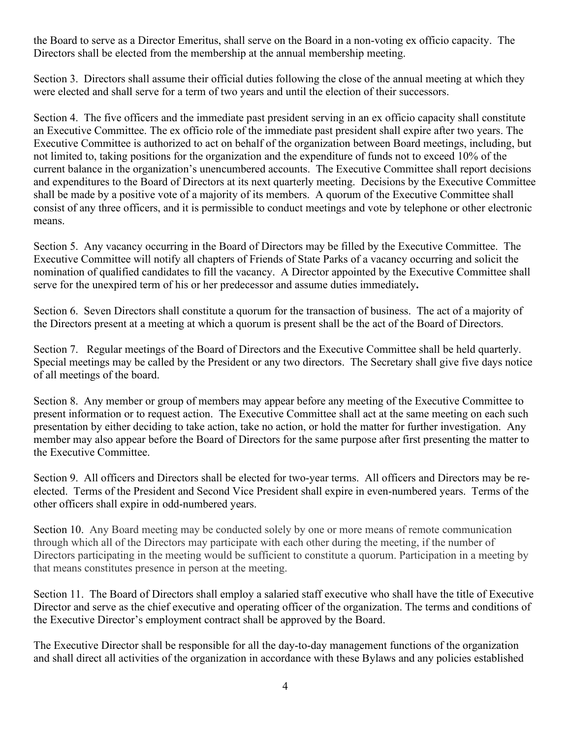the Board to serve as a Director Emeritus, shall serve on the Board in a non-voting ex officio capacity. The Directors shall be elected from the membership at the annual membership meeting.

Section 3. Directors shall assume their official duties following the close of the annual meeting at which they were elected and shall serve for a term of two years and until the election of their successors.

Section 4. The five officers and the immediate past president serving in an ex officio capacity shall constitute an Executive Committee. The ex officio role of the immediate past president shall expire after two years. The Executive Committee is authorized to act on behalf of the organization between Board meetings, including, but not limited to, taking positions for the organization and the expenditure of funds not to exceed 10% of the current balance in the organization's unencumbered accounts. The Executive Committee shall report decisions and expenditures to the Board of Directors at its next quarterly meeting. Decisions by the Executive Committee shall be made by a positive vote of a majority of its members. A quorum of the Executive Committee shall consist of any three officers, and it is permissible to conduct meetings and vote by telephone or other electronic means.

Section 5. Any vacancy occurring in the Board of Directors may be filled by the Executive Committee. The Executive Committee will notify all chapters of Friends of State Parks of a vacancy occurring and solicit the nomination of qualified candidates to fill the vacancy. A Director appointed by the Executive Committee shall serve for the unexpired term of his or her predecessor and assume duties immediately**.**

Section 6. Seven Directors shall constitute a quorum for the transaction of business. The act of a majority of the Directors present at a meeting at which a quorum is present shall be the act of the Board of Directors.

Section 7. Regular meetings of the Board of Directors and the Executive Committee shall be held quarterly. Special meetings may be called by the President or any two directors. The Secretary shall give five days notice of all meetings of the board.

Section 8. Any member or group of members may appear before any meeting of the Executive Committee to present information or to request action. The Executive Committee shall act at the same meeting on each such presentation by either deciding to take action, take no action, or hold the matter for further investigation. Any member may also appear before the Board of Directors for the same purpose after first presenting the matter to the Executive Committee.

Section 9. All officers and Directors shall be elected for two-year terms. All officers and Directors may be reelected. Terms of the President and Second Vice President shall expire in even-numbered years. Terms of the other officers shall expire in odd-numbered years.

Section 10. Any Board meeting may be conducted solely by one or more means of remote communication through which all of the Directors may participate with each other during the meeting, if the number of Directors participating in the meeting would be sufficient to constitute a quorum. Participation in a meeting by that means constitutes presence in person at the meeting.

Section 11. The Board of Directors shall employ a salaried staff executive who shall have the title of Executive Director and serve as the chief executive and operating officer of the organization. The terms and conditions of the Executive Director's employment contract shall be approved by the Board.

The Executive Director shall be responsible for all the day-to-day management functions of the organization and shall direct all activities of the organization in accordance with these Bylaws and any policies established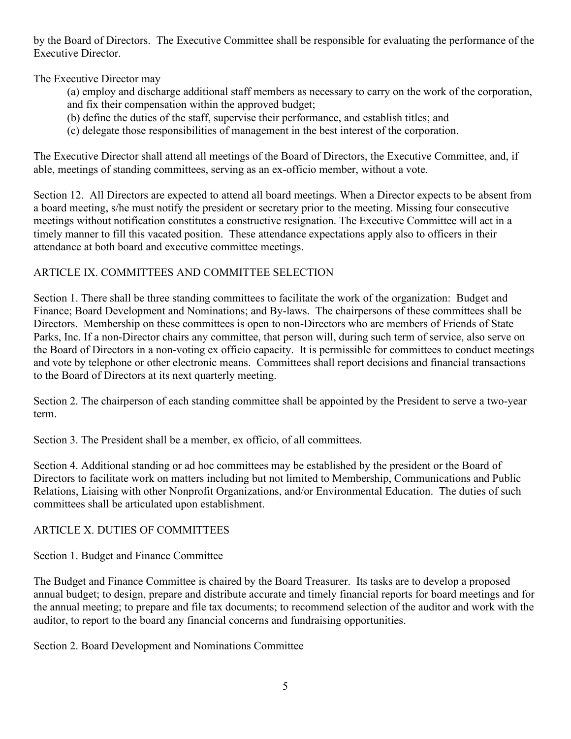by the Board of Directors. The Executive Committee shall be responsible for evaluating the performance of the Executive Director.

The Executive Director may

- (a) employ and discharge additional staff members as necessary to carry on the work of the corporation, and fix their compensation within the approved budget;
- (b) define the duties of the staff, supervise their performance, and establish titles; and
- (c) delegate those responsibilities of management in the best interest of the corporation.

The Executive Director shall attend all meetings of the Board of Directors, the Executive Committee, and, if able, meetings of standing committees, serving as an ex-officio member, without a vote.

Section 12. All Directors are expected to attend all board meetings. When a Director expects to be absent from a board meeting, s/he must notify the president or secretary prior to the meeting. Missing four consecutive meetings without notification constitutes a constructive resignation. The Executive Committee will act in a timely manner to fill this vacated position. These attendance expectations apply also to officers in their attendance at both board and executive committee meetings.

## ARTICLE IX. COMMITTEES AND COMMITTEE SELECTION

Section 1. There shall be three standing committees to facilitate the work of the organization: Budget and Finance; Board Development and Nominations; and By-laws. The chairpersons of these committees shall be Directors. Membership on these committees is open to non-Directors who are members of Friends of State Parks, Inc. If a non-Director chairs any committee, that person will, during such term of service, also serve on the Board of Directors in a non-voting ex officio capacity. It is permissible for committees to conduct meetings and vote by telephone or other electronic means. Committees shall report decisions and financial transactions to the Board of Directors at its next quarterly meeting.

Section 2. The chairperson of each standing committee shall be appointed by the President to serve a two-year term.

Section 3. The President shall be a member, ex officio, of all committees.

Section 4. Additional standing or ad hoc committees may be established by the president or the Board of Directors to facilitate work on matters including but not limited to Membership, Communications and Public Relations, Liaising with other Nonprofit Organizations, and/or Environmental Education. The duties of such committees shall be articulated upon establishment.

### ARTICLE X. DUTIES OF COMMITTEES

Section 1. Budget and Finance Committee

The Budget and Finance Committee is chaired by the Board Treasurer. Its tasks are to develop a proposed annual budget; to design, prepare and distribute accurate and timely financial reports for board meetings and for the annual meeting; to prepare and file tax documents; to recommend selection of the auditor and work with the auditor, to report to the board any financial concerns and fundraising opportunities.

Section 2. Board Development and Nominations Committee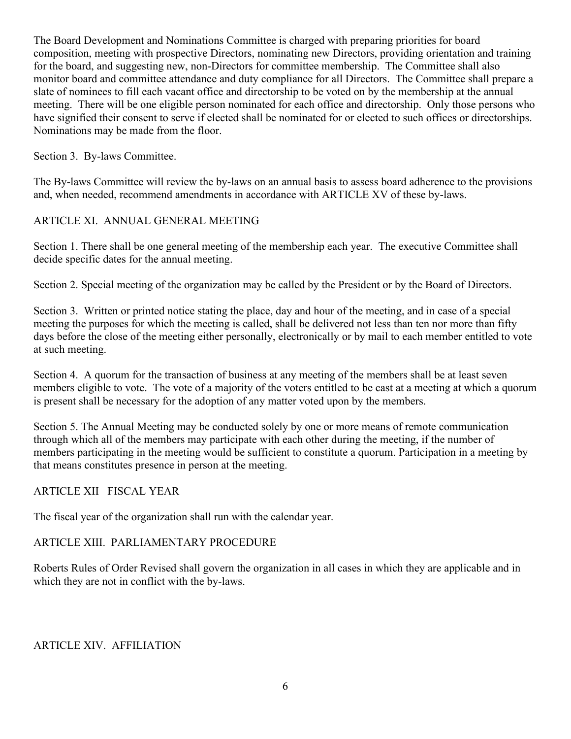The Board Development and Nominations Committee is charged with preparing priorities for board composition, meeting with prospective Directors, nominating new Directors, providing orientation and training for the board, and suggesting new, non-Directors for committee membership. The Committee shall also monitor board and committee attendance and duty compliance for all Directors. The Committee shall prepare a slate of nominees to fill each vacant office and directorship to be voted on by the membership at the annual meeting. There will be one eligible person nominated for each office and directorship. Only those persons who have signified their consent to serve if elected shall be nominated for or elected to such offices or directorships. Nominations may be made from the floor.

#### Section 3. By-laws Committee.

The By-laws Committee will review the by-laws on an annual basis to assess board adherence to the provisions and, when needed, recommend amendments in accordance with ARTICLE XV of these by-laws.

### ARTICLE XI. ANNUAL GENERAL MEETING

Section 1. There shall be one general meeting of the membership each year. The executive Committee shall decide specific dates for the annual meeting.

Section 2. Special meeting of the organization may be called by the President or by the Board of Directors.

Section 3. Written or printed notice stating the place, day and hour of the meeting, and in case of a special meeting the purposes for which the meeting is called, shall be delivered not less than ten nor more than fifty days before the close of the meeting either personally, electronically or by mail to each member entitled to vote at such meeting.

Section 4. A quorum for the transaction of business at any meeting of the members shall be at least seven members eligible to vote. The vote of a majority of the voters entitled to be cast at a meeting at which a quorum is present shall be necessary for the adoption of any matter voted upon by the members.

Section 5. The Annual Meeting may be conducted solely by one or more means of remote communication through which all of the members may participate with each other during the meeting, if the number of members participating in the meeting would be sufficient to constitute a quorum. Participation in a meeting by that means constitutes presence in person at the meeting.

#### ARTICLE XII FISCAL YEAR

The fiscal year of the organization shall run with the calendar year.

### ARTICLE XIII. PARLIAMENTARY PROCEDURE

Roberts Rules of Order Revised shall govern the organization in all cases in which they are applicable and in which they are not in conflict with the by-laws.

#### ARTICLE XIV. AFFILIATION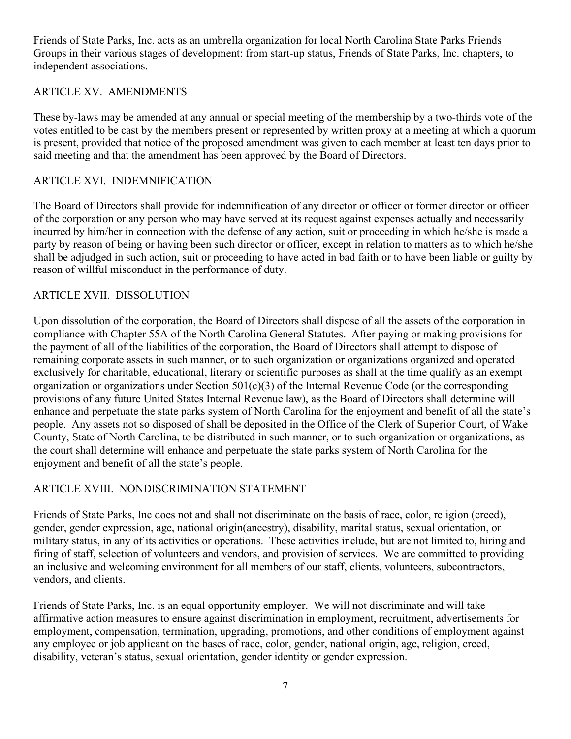Friends of State Parks, Inc. acts as an umbrella organization for local North Carolina State Parks Friends Groups in their various stages of development: from start-up status, Friends of State Parks, Inc. chapters, to independent associations.

### ARTICLE XV. AMENDMENTS

These by-laws may be amended at any annual or special meeting of the membership by a two-thirds vote of the votes entitled to be cast by the members present or represented by written proxy at a meeting at which a quorum is present, provided that notice of the proposed amendment was given to each member at least ten days prior to said meeting and that the amendment has been approved by the Board of Directors.

#### ARTICLE XVI. INDEMNIFICATION

The Board of Directors shall provide for indemnification of any director or officer or former director or officer of the corporation or any person who may have served at its request against expenses actually and necessarily incurred by him/her in connection with the defense of any action, suit or proceeding in which he/she is made a party by reason of being or having been such director or officer, except in relation to matters as to which he/she shall be adjudged in such action, suit or proceeding to have acted in bad faith or to have been liable or guilty by reason of willful misconduct in the performance of duty.

#### ARTICLE XVII. DISSOLUTION

Upon dissolution of the corporation, the Board of Directors shall dispose of all the assets of the corporation in compliance with Chapter 55A of the North Carolina General Statutes. After paying or making provisions for the payment of all of the liabilities of the corporation, the Board of Directors shall attempt to dispose of remaining corporate assets in such manner, or to such organization or organizations organized and operated exclusively for charitable, educational, literary or scientific purposes as shall at the time qualify as an exempt organization or organizations under Section 501(c)(3) of the Internal Revenue Code (or the corresponding provisions of any future United States Internal Revenue law), as the Board of Directors shall determine will enhance and perpetuate the state parks system of North Carolina for the enjoyment and benefit of all the state's people. Any assets not so disposed of shall be deposited in the Office of the Clerk of Superior Court, of Wake County, State of North Carolina, to be distributed in such manner, or to such organization or organizations, as the court shall determine will enhance and perpetuate the state parks system of North Carolina for the enjoyment and benefit of all the state's people.

### ARTICLE XVIII. NONDISCRIMINATION STATEMENT

Friends of State Parks, Inc does not and shall not discriminate on the basis of race, color, religion (creed), gender, gender expression, age, national origin(ancestry), disability, marital status, sexual orientation, or military status, in any of its activities or operations. These activities include, but are not limited to, hiring and firing of staff, selection of volunteers and vendors, and provision of services. We are committed to providing an inclusive and welcoming environment for all members of our staff, clients, volunteers, subcontractors, vendors, and clients.

Friends of State Parks, Inc. is an equal opportunity employer. We will not discriminate and will take affirmative action measures to ensure against discrimination in employment, recruitment, advertisements for employment, compensation, termination, upgrading, promotions, and other conditions of employment against any employee or job applicant on the bases of race, color, gender, national origin, age, religion, creed, disability, veteran's status, sexual orientation, gender identity or gender expression.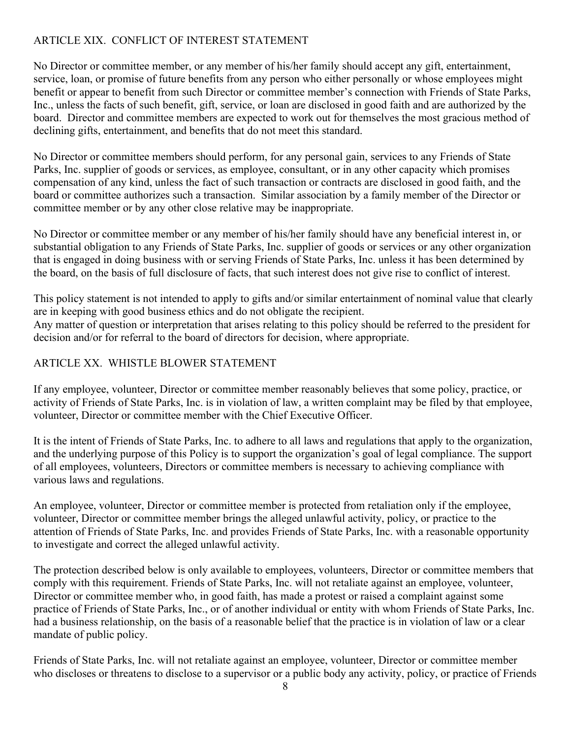# ARTICLE XIX. CONFLICT OF INTEREST STATEMENT

No Director or committee member, or any member of his/her family should accept any gift, entertainment, service, loan, or promise of future benefits from any person who either personally or whose employees might benefit or appear to benefit from such Director or committee member's connection with Friends of State Parks, Inc., unless the facts of such benefit, gift, service, or loan are disclosed in good faith and are authorized by the board. Director and committee members are expected to work out for themselves the most gracious method of declining gifts, entertainment, and benefits that do not meet this standard.

No Director or committee members should perform, for any personal gain, services to any Friends of State Parks, Inc. supplier of goods or services, as employee, consultant, or in any other capacity which promises compensation of any kind, unless the fact of such transaction or contracts are disclosed in good faith, and the board or committee authorizes such a transaction. Similar association by a family member of the Director or committee member or by any other close relative may be inappropriate.

No Director or committee member or any member of his/her family should have any beneficial interest in, or substantial obligation to any Friends of State Parks, Inc. supplier of goods or services or any other organization that is engaged in doing business with or serving Friends of State Parks, Inc. unless it has been determined by the board, on the basis of full disclosure of facts, that such interest does not give rise to conflict of interest.

This policy statement is not intended to apply to gifts and/or similar entertainment of nominal value that clearly are in keeping with good business ethics and do not obligate the recipient. Any matter of question or interpretation that arises relating to this policy should be referred to the president for decision and/or for referral to the board of directors for decision, where appropriate.

# ARTICLE XX. WHISTLE BLOWER STATEMENT

If any employee, volunteer, Director or committee member reasonably believes that some policy, practice, or activity of Friends of State Parks, Inc. is in violation of law, a written complaint may be filed by that employee, volunteer, Director or committee member with the Chief Executive Officer.

It is the intent of Friends of State Parks, Inc. to adhere to all laws and regulations that apply to the organization, and the underlying purpose of this Policy is to support the organization's goal of legal compliance. The support of all employees, volunteers, Directors or committee members is necessary to achieving compliance with various laws and regulations.

An employee, volunteer, Director or committee member is protected from retaliation only if the employee, volunteer, Director or committee member brings the alleged unlawful activity, policy, or practice to the attention of Friends of State Parks, Inc. and provides Friends of State Parks, Inc. with a reasonable opportunity to investigate and correct the alleged unlawful activity.

The protection described below is only available to employees, volunteers, Director or committee members that comply with this requirement. Friends of State Parks, Inc. will not retaliate against an employee, volunteer, Director or committee member who, in good faith, has made a protest or raised a complaint against some practice of Friends of State Parks, Inc., or of another individual or entity with whom Friends of State Parks, Inc. had a business relationship, on the basis of a reasonable belief that the practice is in violation of law or a clear mandate of public policy.

Friends of State Parks, Inc. will not retaliate against an employee, volunteer, Director or committee member who discloses or threatens to disclose to a supervisor or a public body any activity, policy, or practice of Friends